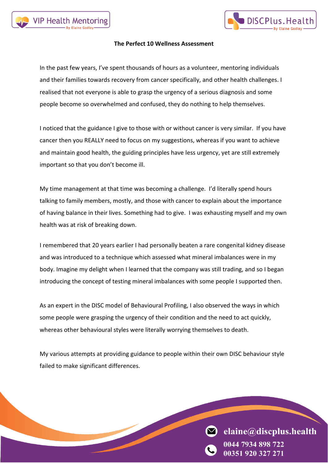



#### **The Perfect 10 Wellness Assessment**

In the past few years, I've spent thousands of hours as a volunteer, mentoring individuals and their families towards recovery from cancer specifically, and other health challenges. I realised that not everyone is able to grasp the urgency of a serious diagnosis and some people become so overwhelmed and confused, they do nothing to help themselves.

I noticed that the guidance I give to those with or without cancer is very similar. If you have cancer then you REALLY need to focus on my suggestions, whereas if you want to achieve and maintain good health, the guiding principles have less urgency, yet are still extremely important so that you don't become ill.

My time management at that time was becoming a challenge. I'd literally spend hours talking to family members, mostly, and those with cancer to explain about the importance of having balance in their lives. Something had to give. I was exhausting myself and my own health was at risk of breaking down.

I remembered that 20 years earlier I had personally beaten a rare congenital kidney disease and was introduced to a technique which assessed what mineral imbalances were in my body. Imagine my delight when I learned that the company was still trading, and so I began introducing the concept of testing mineral imbalances with some people I supported then.

As an expert in the DISC model of Behavioural Profiling, I also observed the ways in which some people were grasping the urgency of their condition and the need to act quickly, whereas other behavioural styles were literally worrying themselves to death.

My various attempts at providing guidance to people within their own DISC behaviour style failed to make significant differences.

elaine@discplus.health

0351 920 327 271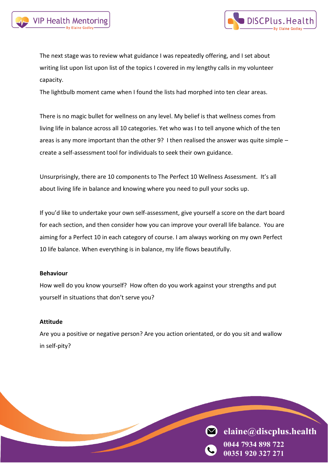



The next stage was to review what guidance I was repeatedly offering, and I set about writing list upon list upon list of the topics I covered in my lengthy calls in my volunteer capacity.

The lightbulb moment came when I found the lists had morphed into ten clear areas.

There is no magic bullet for wellness on any level. My belief is that wellness comes from living life in balance across all 10 categories. Yet who was I to tell anyone which of the ten areas is any more important than the other 9? I then realised the answer was quite simple – create a self-assessment tool for individuals to seek their own guidance.

Unsurprisingly, there are 10 components to The Perfect 10 Wellness Assessment. It's all about living life in balance and knowing where you need to pull your socks up.

If you'd like to undertake your own self-assessment, give yourself a score on the dart board for each section, and then consider how you can improve your overall life balance. You are aiming for a Perfect 10 in each category of course. I am always working on my own Perfect 10 life balance. When everything is in balance, my life flows beautifully.

#### **Behaviour**

How well do you know yourself? How often do you work against your strengths and put yourself in situations that don't serve you?

#### **Attitude**

Are you a positive or negative person? Are you action orientated, or do you sit and wallow in self-pity?

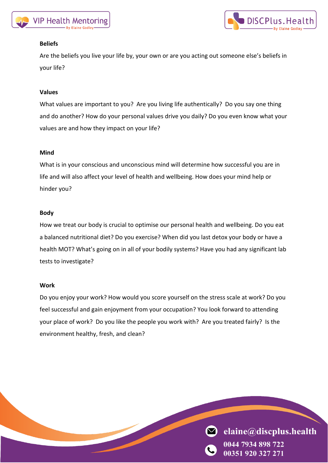



## **Beliefs**

Are the beliefs you live your life by, your own or are you acting out someone else's beliefs in your life?

#### **Values**

What values are important to you? Are you living life authentically? Do you say one thing and do another? How do your personal values drive you daily? Do you even know what your values are and how they impact on your life?

#### **Mind**

What is in your conscious and unconscious mind will determine how successful you are in life and will also affect your level of health and wellbeing. How does your mind help or hinder you?

#### **Body**

How we treat our body is crucial to optimise our personal health and wellbeing. Do you eat a balanced nutritional diet? Do you exercise? When did you last detox your body or have a health MOT? What's going on in all of your bodily systems? Have you had any significant lab tests to investigate?

#### **Work**

Do you enjoy your work? How would you score yourself on the stress scale at work? Do you feel successful and gain enjoyment from your occupation? You look forward to attending your place of work? Do you like the people you work with? Are you treated fairly? Is the environment healthy, fresh, and clean?

> $\blacksquare$ elaine@discplus.health 7934 898 722

00351 920 327 271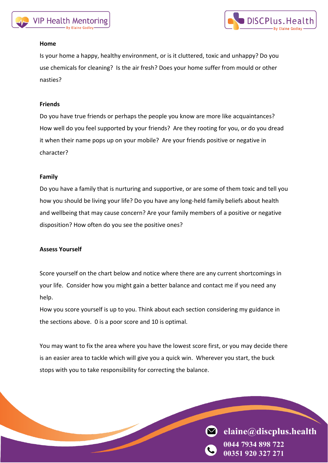



## **Home**

Is your home a happy, healthy environment, or is it cluttered, toxic and unhappy? Do you use chemicals for cleaning? Is the air fresh? Does your home suffer from mould or other nasties?

## **Friends**

Do you have true friends or perhaps the people you know are more like acquaintances? How well do you feel supported by your friends? Are they rooting for you, or do you dread it when their name pops up on your mobile? Are your friends positive or negative in character?

## **Family**

Do you have a family that is nurturing and supportive, or are some of them toxic and tell you how you should be living your life? Do you have any long-held family beliefs about health and wellbeing that may cause concern? Are your family members of a positive or negative disposition? How often do you see the positive ones?

#### **Assess Yourself**

Score yourself on the chart below and notice where there are any current shortcomings in your life. Consider how you might gain a better balance and contact me if you need any help.

How you score yourself is up to you. Think about each section considering my guidance in the sections above. 0 is a poor score and 10 is optimal.

You may want to fix the area where you have the lowest score first, or you may decide there is an easier area to tackle which will give you a quick win. Wherever you start, the buck stops with you to take responsibility for correcting the balance.

elaine@discplus.health

**00351 920 327 271**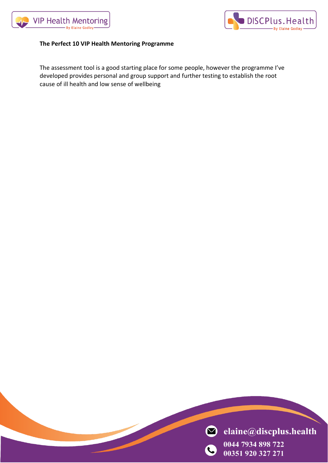



## **The Perfect 10 VIP Health Mentoring Programme**

The assessment tool is a good starting place for some people, however the programme I've developed provides personal and group support and further testing to establish the root cause of ill health and low sense of wellbeing

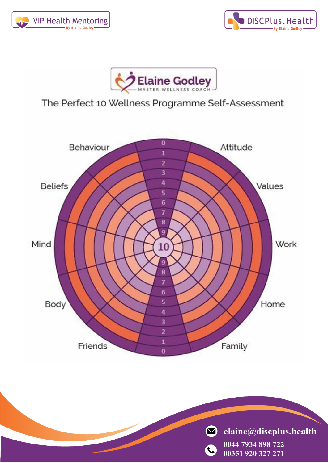





# The Perfect 10 Wellness Programme Self-Assessment



 $\bullet$  elaine@discplus.health 0044 7934 898 722  $\mathbf{C}$ 00351 920 327 271